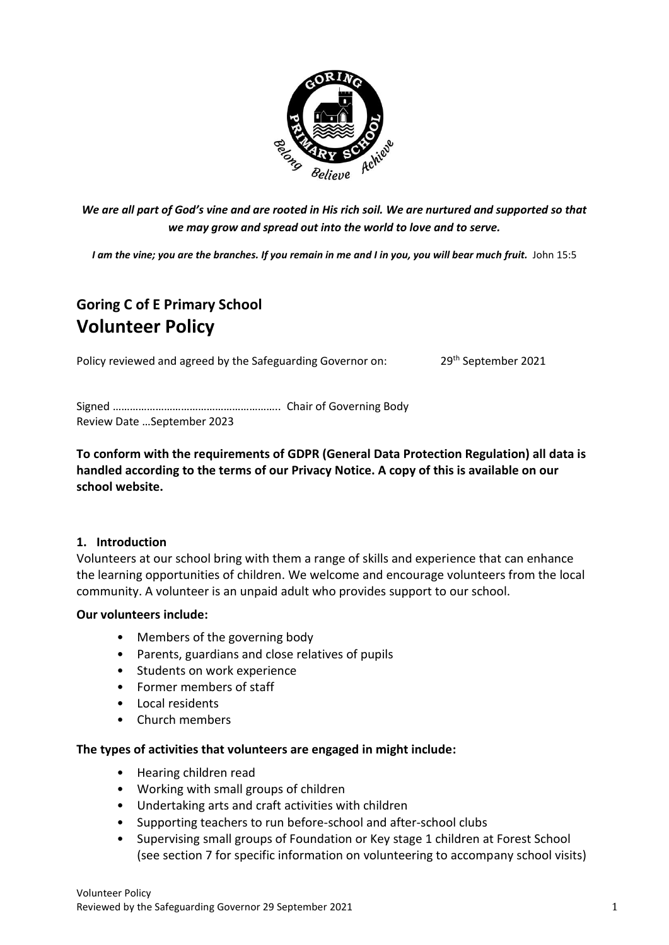

*We are all part of God's vine and are rooted in His rich soil. We are nurtured and supported so that we may grow and spread out into the world to love and to serve.*

*I am the vine; you are the branches. If you remain in me and I in you, you will bear much fruit.* John 15:5

# **Goring C of E Primary School Volunteer Policy**

Policy reviewed and agreed by the Safeguarding Governor on: 29<sup>th</sup> September 2021

Signed ………………………………………………….. Chair of Governing Body Review Date …September 2023

**To conform with the requirements of GDPR (General Data Protection Regulation) all data is handled according to the terms of our Privacy Notice. A copy of this is available on our school website.**

#### **1. Introduction**

Volunteers at our school bring with them a range of skills and experience that can enhance the learning opportunities of children. We welcome and encourage volunteers from the local community. A volunteer is an unpaid adult who provides support to our school.

#### **Our volunteers include:**

- Members of the governing body
- Parents, guardians and close relatives of pupils
- Students on work experience
- Former members of staff
- Local residents
- Church members

#### **The types of activities that volunteers are engaged in might include:**

- Hearing children read
- Working with small groups of children
- Undertaking arts and craft activities with children
- Supporting teachers to run before-school and after-school clubs
- Supervising small groups of Foundation or Key stage 1 children at Forest School (see section 7 for specific information on volunteering to accompany school visits)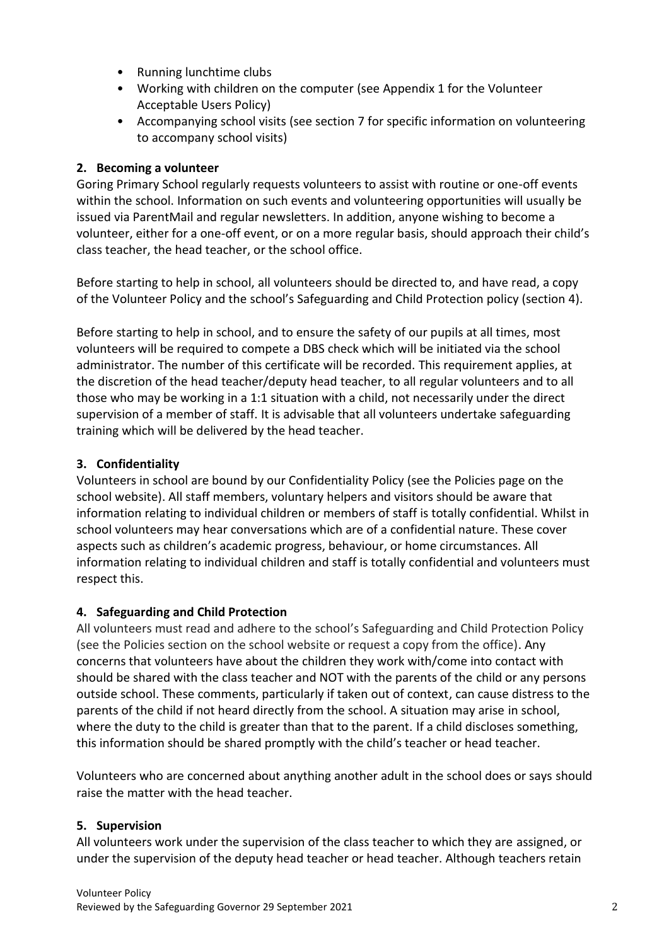- Running lunchtime clubs
- Working with children on the computer (see Appendix 1 for the Volunteer Acceptable Users Policy)
- Accompanying school visits (see section 7 for specific information on volunteering to accompany school visits)

### **2. Becoming a volunteer**

Goring Primary School regularly requests volunteers to assist with routine or one-off events within the school. Information on such events and volunteering opportunities will usually be issued via ParentMail and regular newsletters. In addition, anyone wishing to become a volunteer, either for a one-off event, or on a more regular basis, should approach their child's class teacher, the head teacher, or the school office.

Before starting to help in school, all volunteers should be directed to, and have read, a copy of the Volunteer Policy and the school's Safeguarding and Child Protection policy (section 4).

Before starting to help in school, and to ensure the safety of our pupils at all times, most volunteers will be required to compete a DBS check which will be initiated via the school administrator. The number of this certificate will be recorded. This requirement applies, at the discretion of the head teacher/deputy head teacher, to all regular volunteers and to all those who may be working in a 1:1 situation with a child, not necessarily under the direct supervision of a member of staff. It is advisable that all volunteers undertake safeguarding training which will be delivered by the head teacher.

### **3. Confidentiality**

Volunteers in school are bound by our Confidentiality Policy (see the Policies page on the school website). All staff members, voluntary helpers and visitors should be aware that information relating to individual children or members of staff is totally confidential. Whilst in school volunteers may hear conversations which are of a confidential nature. These cover aspects such as children's academic progress, behaviour, or home circumstances. All information relating to individual children and staff is totally confidential and volunteers must respect this.

### **4. Safeguarding and Child Protection**

All volunteers must read and adhere to the school's Safeguarding and Child Protection Policy (see the Policies section on the school website or request a copy from the office). Any concerns that volunteers have about the children they work with/come into contact with should be shared with the class teacher and NOT with the parents of the child or any persons outside school. These comments, particularly if taken out of context, can cause distress to the parents of the child if not heard directly from the school. A situation may arise in school, where the duty to the child is greater than that to the parent. If a child discloses something, this information should be shared promptly with the child's teacher or head teacher.

Volunteers who are concerned about anything another adult in the school does or says should raise the matter with the head teacher.

### **5. Supervision**

All volunteers work under the supervision of the class teacher to which they are assigned, or under the supervision of the deputy head teacher or head teacher. Although teachers retain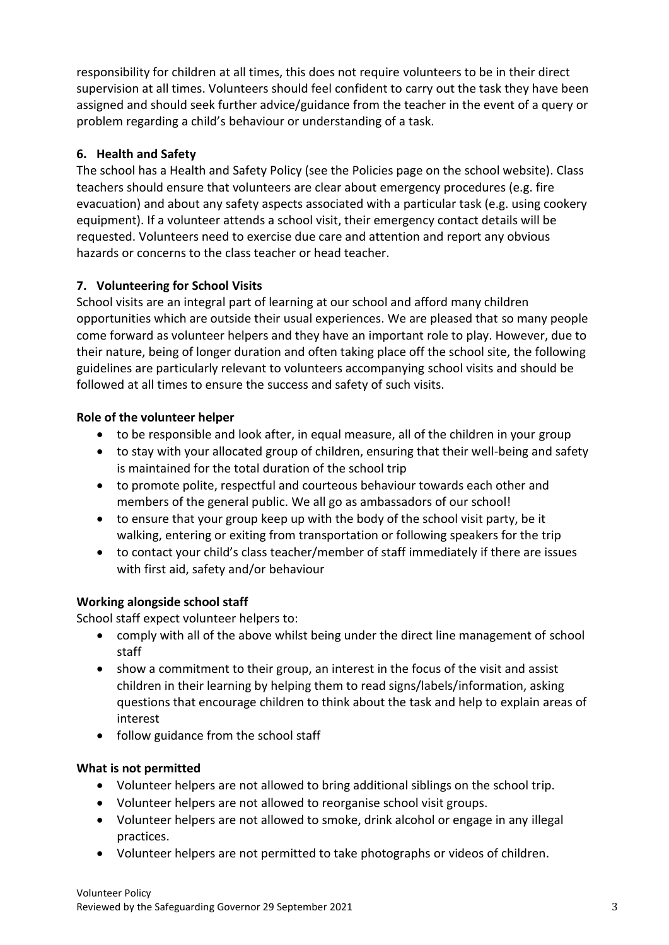responsibility for children at all times, this does not require volunteers to be in their direct supervision at all times. Volunteers should feel confident to carry out the task they have been assigned and should seek further advice/guidance from the teacher in the event of a query or problem regarding a child's behaviour or understanding of a task.

### **6. Health and Safety**

The school has a Health and Safety Policy (see the Policies page on the school website). Class teachers should ensure that volunteers are clear about emergency procedures (e.g. fire evacuation) and about any safety aspects associated with a particular task (e.g. using cookery equipment). If a volunteer attends a school visit, their emergency contact details will be requested. Volunteers need to exercise due care and attention and report any obvious hazards or concerns to the class teacher or head teacher.

# **7. Volunteering for School Visits**

School visits are an integral part of learning at our school and afford many children opportunities which are outside their usual experiences. We are pleased that so many people come forward as volunteer helpers and they have an important role to play. However, due to their nature, being of longer duration and often taking place off the school site, the following guidelines are particularly relevant to volunteers accompanying school visits and should be followed at all times to ensure the success and safety of such visits.

# **Role of the volunteer helper**

- to be responsible and look after, in equal measure, all of the children in your group
- to stay with your allocated group of children, ensuring that their well-being and safety is maintained for the total duration of the school trip
- to promote polite, respectful and courteous behaviour towards each other and members of the general public. We all go as ambassadors of our school!
- to ensure that your group keep up with the body of the school visit party, be it walking, entering or exiting from transportation or following speakers for the trip
- to contact your child's class teacher/member of staff immediately if there are issues with first aid, safety and/or behaviour

# **Working alongside school staff**

School staff expect volunteer helpers to:

- comply with all of the above whilst being under the direct line management of school staff
- show a commitment to their group, an interest in the focus of the visit and assist children in their learning by helping them to read signs/labels/information, asking questions that encourage children to think about the task and help to explain areas of interest
- follow guidance from the school staff

# **What is not permitted**

- Volunteer helpers are not allowed to bring additional siblings on the school trip.
- Volunteer helpers are not allowed to reorganise school visit groups.
- Volunteer helpers are not allowed to smoke, drink alcohol or engage in any illegal practices.
- Volunteer helpers are not permitted to take photographs or videos of children.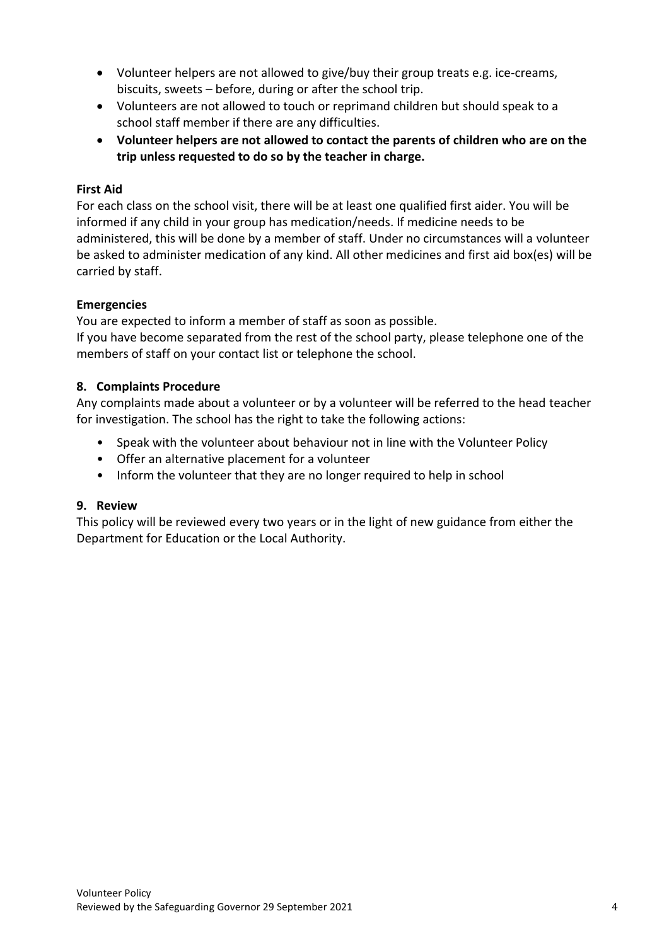- Volunteer helpers are not allowed to give/buy their group treats e.g. ice‐creams, biscuits, sweets – before, during or after the school trip.
- Volunteers are not allowed to touch or reprimand children but should speak to a school staff member if there are any difficulties.
- **Volunteer helpers are not allowed to contact the parents of children who are on the trip unless requested to do so by the teacher in charge.**

### **First Aid**

For each class on the school visit, there will be at least one qualified first aider. You will be informed if any child in your group has medication/needs. If medicine needs to be administered, this will be done by a member of staff. Under no circumstances will a volunteer be asked to administer medication of any kind. All other medicines and first aid box(es) will be carried by staff.

### **Emergencies**

You are expected to inform a member of staff as soon as possible.

If you have become separated from the rest of the school party, please telephone one of the members of staff on your contact list or telephone the school.

### **8. Complaints Procedure**

Any complaints made about a volunteer or by a volunteer will be referred to the head teacher for investigation. The school has the right to take the following actions:

- Speak with the volunteer about behaviour not in line with the Volunteer Policy
- Offer an alternative placement for a volunteer
- Inform the volunteer that they are no longer required to help in school

### **9. Review**

This policy will be reviewed every two years or in the light of new guidance from either the Department for Education or the Local Authority.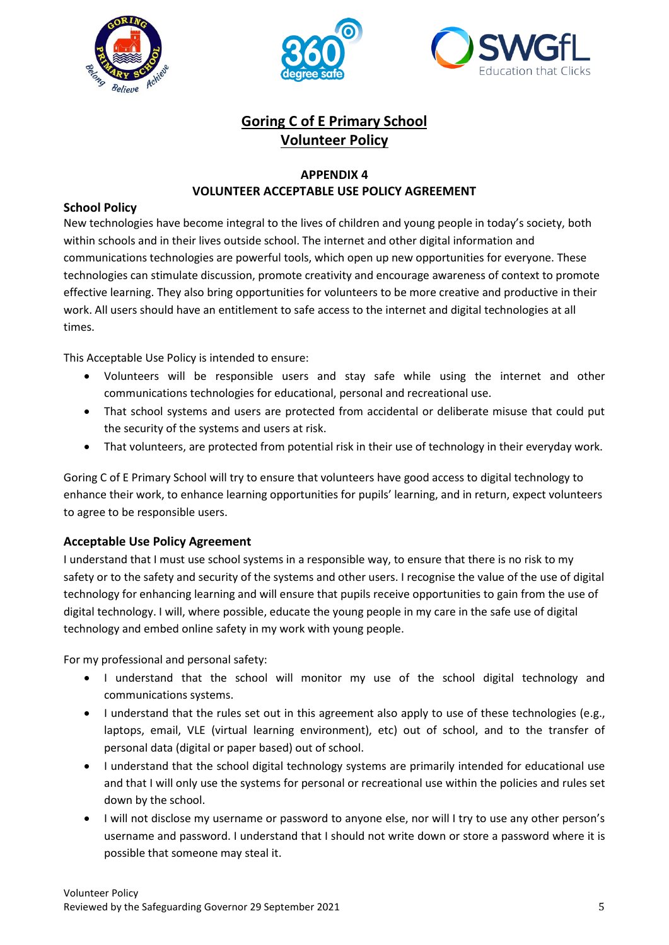





# **Goring C of E Primary School Volunteer Policy**

### **APPENDIX 4 VOLUNTEER ACCEPTABLE USE POLICY AGREEMENT**

#### **School Policy**

New technologies have become integral to the lives of children and young people in today's society, both within schools and in their lives outside school. The internet and other digital information and communications technologies are powerful tools, which open up new opportunities for everyone. These technologies can stimulate discussion, promote creativity and encourage awareness of context to promote effective learning. They also bring opportunities for volunteers to be more creative and productive in their work. All users should have an entitlement to safe access to the internet and digital technologies at all times.

This Acceptable Use Policy is intended to ensure:

- Volunteers will be responsible users and stay safe while using the internet and other communications technologies for educational, personal and recreational use.
- That school systems and users are protected from accidental or deliberate misuse that could put the security of the systems and users at risk.
- That volunteers, are protected from potential risk in their use of technology in their everyday work.

Goring C of E Primary School will try to ensure that volunteers have good access to digital technology to enhance their work, to enhance learning opportunities for pupils' learning, and in return, expect volunteers to agree to be responsible users.

#### **Acceptable Use Policy Agreement**

I understand that I must use school systems in a responsible way, to ensure that there is no risk to my safety or to the safety and security of the systems and other users. I recognise the value of the use of digital technology for enhancing learning and will ensure that pupils receive opportunities to gain from the use of digital technology. I will, where possible, educate the young people in my care in the safe use of digital technology and embed online safety in my work with young people.

For my professional and personal safety:

- I understand that the school will monitor my use of the school digital technology and communications systems.
- I understand that the rules set out in this agreement also apply to use of these technologies (e.g., laptops, email, VLE (virtual learning environment), etc) out of school, and to the transfer of personal data (digital or paper based) out of school.
- I understand that the school digital technology systems are primarily intended for educational use and that I will only use the systems for personal or recreational use within the policies and rules set down by the school.
- I will not disclose my username or password to anyone else, nor will I try to use any other person's username and password. I understand that I should not write down or store a password where it is possible that someone may steal it.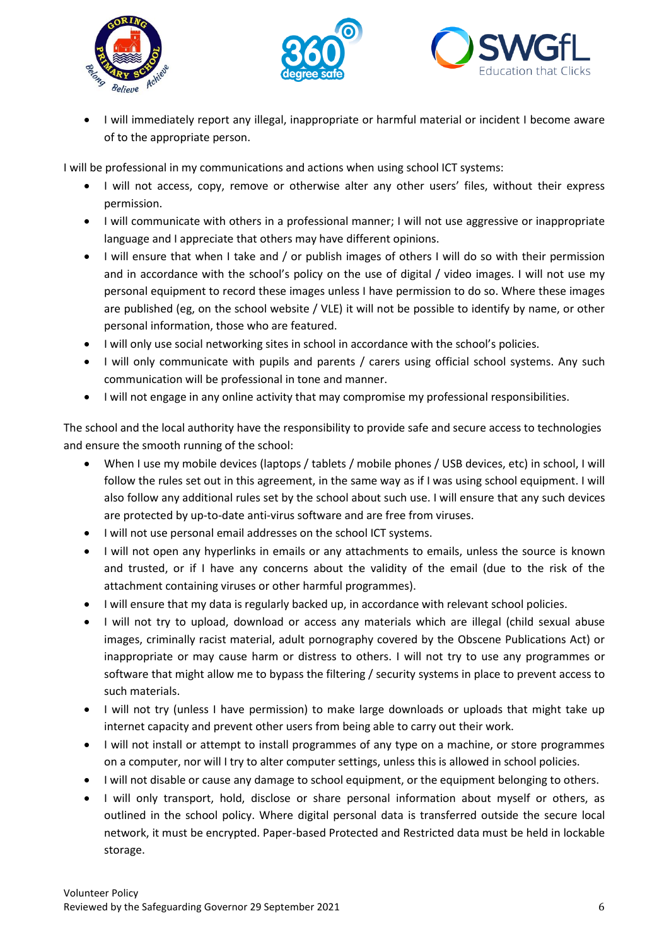





• I will immediately report any illegal, inappropriate or harmful material or incident I become aware of to the appropriate person.

I will be professional in my communications and actions when using school ICT systems:

- I will not access, copy, remove or otherwise alter any other users' files, without their express permission.
- I will communicate with others in a professional manner; I will not use aggressive or inappropriate language and I appreciate that others may have different opinions.
- I will ensure that when I take and / or publish images of others I will do so with their permission and in accordance with the school's policy on the use of digital / video images. I will not use my personal equipment to record these images unless I have permission to do so. Where these images are published (eg, on the school website / VLE) it will not be possible to identify by name, or other personal information, those who are featured.
- I will only use social networking sites in school in accordance with the school's policies.
- I will only communicate with pupils and parents / carers using official school systems. Any such communication will be professional in tone and manner.
- I will not engage in any online activity that may compromise my professional responsibilities.

The school and the local authority have the responsibility to provide safe and secure access to technologies and ensure the smooth running of the school:

- When I use my mobile devices (laptops / tablets / mobile phones / USB devices, etc) in school, I will follow the rules set out in this agreement, in the same way as if I was using school equipment. I will also follow any additional rules set by the school about such use. I will ensure that any such devices are protected by up-to-date anti-virus software and are free from viruses.
- I will not use personal email addresses on the school ICT systems.
- I will not open any hyperlinks in emails or any attachments to emails, unless the source is known and trusted, or if I have any concerns about the validity of the email (due to the risk of the attachment containing viruses or other harmful programmes).
- I will ensure that my data is regularly backed up, in accordance with relevant school policies.
- I will not try to upload, download or access any materials which are illegal (child sexual abuse images, criminally racist material, adult pornography covered by the Obscene Publications Act) or inappropriate or may cause harm or distress to others. I will not try to use any programmes or software that might allow me to bypass the filtering / security systems in place to prevent access to such materials.
- I will not try (unless I have permission) to make large downloads or uploads that might take up internet capacity and prevent other users from being able to carry out their work.
- I will not install or attempt to install programmes of any type on a machine, or store programmes on a computer, nor will I try to alter computer settings, unless this is allowed in school policies.
- I will not disable or cause any damage to school equipment, or the equipment belonging to others.
- I will only transport, hold, disclose or share personal information about myself or others, as outlined in the school policy. Where digital personal data is transferred outside the secure local network, it must be encrypted. Paper-based Protected and Restricted data must be held in lockable storage.